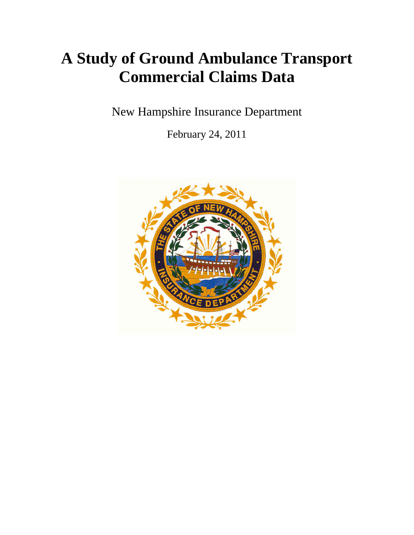# **A Study of Ground Ambulance Transport Commercial Claims Data**

New Hampshire Insurance Department

February 24, 2011

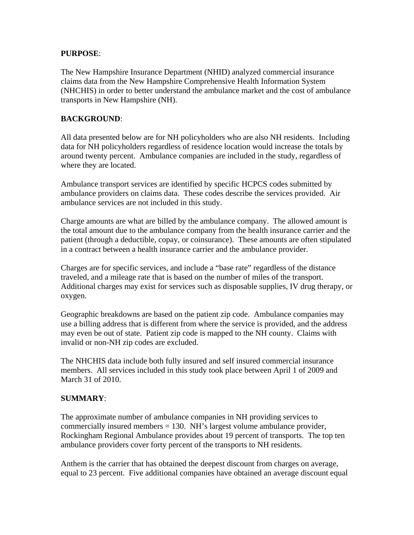#### **PURPOSE**:

The New Hampshire Insurance Department (NHID) analyzed commercial insurance claims data from the New Hampshire Comprehensive Health Information System (NHCHIS) in order to better understand the ambulance market and the cost of ambulance transports in New Hampshire (NH).

#### **BACKGROUND**:

All data presented below are for NH policyholders who are also NH residents. Including data for NH policyholders regardless of residence location would increase the totals by around twenty percent. Ambulance companies are included in the study, regardless of where they are located.

Ambulance transport services are identified by specific HCPCS codes submitted by ambulance providers on claims data. These codes describe the services provided. Air ambulance services are not included in this study.

Charge amounts are what are billed by the ambulance company. The allowed amount is the total amount due to the ambulance company from the health insurance carrier and the patient (through a deductible, copay, or coinsurance). These amounts are often stipulated in a contract between a health insurance carrier and the ambulance provider.

Charges are for specific services, and include a "base rate" regardless of the distance traveled, and a mileage rate that is based on the number of miles of the transport. Additional charges may exist for services such as disposable supplies, IV drug therapy, or oxygen.

Geographic breakdowns are based on the patient zip code. Ambulance companies may use a billing address that is different from where the service is provided, and the address may even be out of state. Patient zip code is mapped to the NH county. Claims with invalid or non-NH zip codes are excluded.

The NHCHIS data include both fully insured and self insured commercial insurance members. All services included in this study took place between April 1 of 2009 and March 31 of 2010.

#### **SUMMARY**:

The approximate number of ambulance companies in NH providing services to commercially insured members = 130. NH's largest volume ambulance provider, Rockingham Regional Ambulance provides about 19 percent of transports. The top ten ambulance providers cover forty percent of the transports to NH residents.

Anthem is the carrier that has obtained the deepest discount from charges on average, equal to 23 percent. Five additional companies have obtained an average discount equal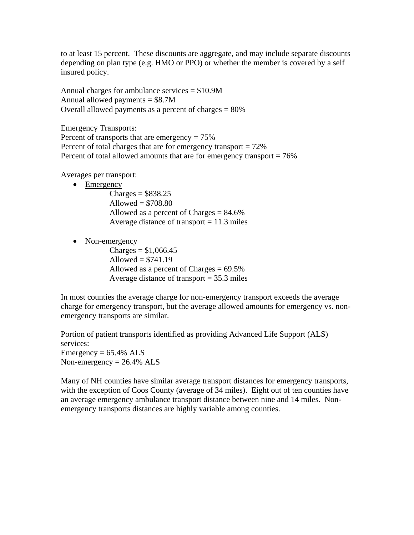to at least 15 percent. These discounts are aggregate, and may include separate discounts depending on plan type (e.g. HMO or PPO) or whether the member is covered by a self insured policy.

Annual charges for ambulance services = \$10.9M Annual allowed payments  $= $8.7M$ Overall allowed payments as a percent of charges = 80%

Emergency Transports: Percent of transports that are emergency  $= 75\%$ Percent of total charges that are for emergency transport  $= 72\%$ Percent of total allowed amounts that are for emergency transport = 76%

Averages per transport:

• Emergency

 $Chares = $838.25$ Allowed  $= $708.80$ Allowed as a percent of Charges = 84.6% Average distance of transport  $= 11.3$  miles

• Non-emergency

 $Chares = $1,066.45$ Allowed  $= $741.19$ Allowed as a percent of Charges  $= 69.5\%$ Average distance of transport = 35.3 miles

In most counties the average charge for non-emergency transport exceeds the average charge for emergency transport, but the average allowed amounts for emergency vs. nonemergency transports are similar.

Portion of patient transports identified as providing Advanced Life Support (ALS) services: Emergency  $= 65.4\%$  ALS Non-emergency  $= 26.4\%$  ALS

Many of NH counties have similar average transport distances for emergency transports, with the exception of Coos County (average of 34 miles). Eight out of ten counties have an average emergency ambulance transport distance between nine and 14 miles. Nonemergency transports distances are highly variable among counties.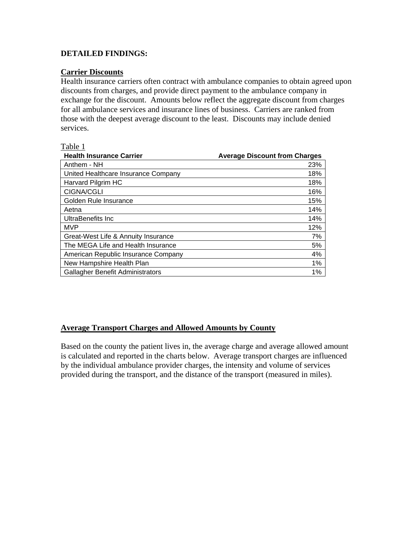#### **DETAILED FINDINGS:**

#### **Carrier Discounts**

Health insurance carriers often contract with ambulance companies to obtain agreed upon discounts from charges, and provide direct payment to the ambulance company in exchange for the discount. Amounts below reflect the aggregate discount from charges for all ambulance services and insurance lines of business. Carriers are ranked from those with the deepest average discount to the least. Discounts may include denied services.

#### Table 1

| <b>Health Insurance Carrier</b>     | <b>Average Discount from Charges</b> |
|-------------------------------------|--------------------------------------|
| Anthem - NH                         | 23%                                  |
| United Healthcare Insurance Company | 18%                                  |
| Harvard Pilgrim HC                  | 18%                                  |
| <b>CIGNA/CGLI</b>                   | 16%                                  |
| Golden Rule Insurance               | 15%                                  |
| Aetna                               | 14%                                  |
| UltraBenefits Inc.                  | 14%                                  |
| <b>MVP</b>                          | 12%                                  |
| Great-West Life & Annuity Insurance | 7%                                   |
| The MEGA Life and Health Insurance  | 5%                                   |
| American Republic Insurance Company | 4%                                   |
| New Hampshire Health Plan           | 1%                                   |
| Gallagher Benefit Administrators    | 1%                                   |

# **Average Transport Charges and Allowed Amounts by County**

Based on the county the patient lives in, the average charge and average allowed amount is calculated and reported in the charts below. Average transport charges are influenced by the individual ambulance provider charges, the intensity and volume of services provided during the transport, and the distance of the transport (measured in miles).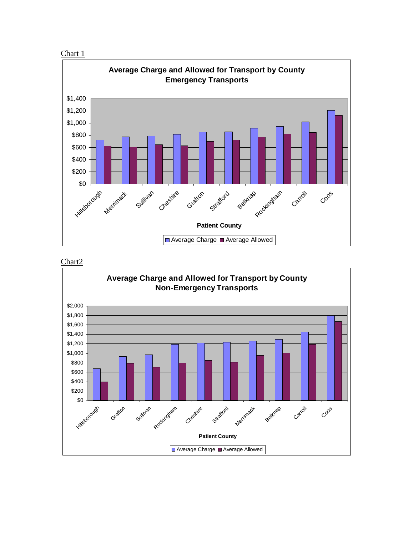



Chart2

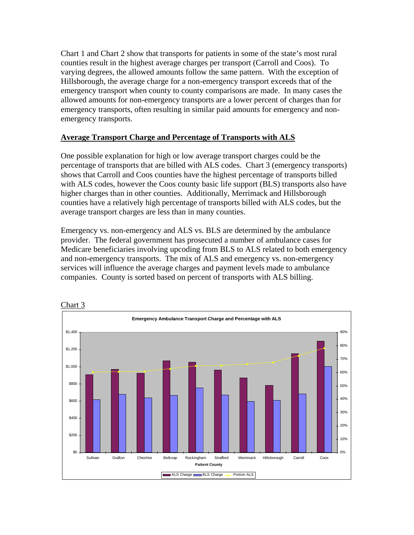Chart 1 and Chart 2 show that transports for patients in some of the state's most rural counties result in the highest average charges per transport (Carroll and Coos). To varying degrees, the allowed amounts follow the same pattern. With the exception of Hillsborough, the average charge for a non-emergency transport exceeds that of the emergency transport when county to county comparisons are made. In many cases the allowed amounts for non-emergency transports are a lower percent of charges than for emergency transports, often resulting in similar paid amounts for emergency and nonemergency transports.

# **Average Transport Charge and Percentage of Transports with ALS**

One possible explanation for high or low average transport charges could be the percentage of transports that are billed with ALS codes. Chart 3 (emergency transports) shows that Carroll and Coos counties have the highest percentage of transports billed with ALS codes, however the Coos county basic life support (BLS) transports also have higher charges than in other counties. Additionally, Merrimack and Hillsborough counties have a relatively high percentage of transports billed with ALS codes, but the average transport charges are less than in many counties.

Emergency vs. non-emergency and ALS vs. BLS are determined by the ambulance provider. The federal government has prosecuted a number of ambulance cases for Medicare beneficiaries involving upcoding from BLS to ALS related to both emergency and non-emergency transports. The mix of ALS and emergency vs. non-emergency services will influence the average charges and payment levels made to ambulance companies. County is sorted based on percent of transports with ALS billing.

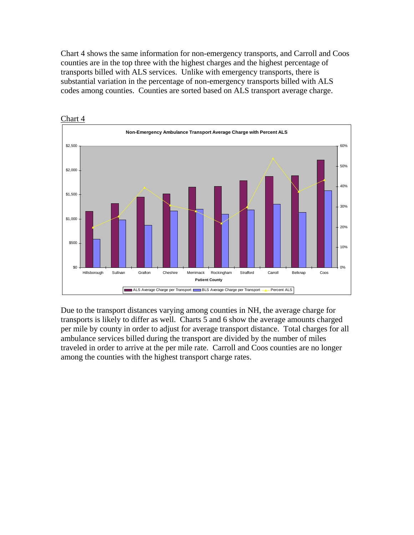Chart 4 shows the same information for non-emergency transports, and Carroll and Coos counties are in the top three with the highest charges and the highest percentage of transports billed with ALS services. Unlike with emergency transports, there is substantial variation in the percentage of non-emergency transports billed with ALS codes among counties. Counties are sorted based on ALS transport average charge.



Due to the transport distances varying among counties in NH, the average charge for transports is likely to differ as well. Charts 5 and 6 show the average amounts charged per mile by county in order to adjust for average transport distance. Total charges for all ambulance services billed during the transport are divided by the number of miles traveled in order to arrive at the per mile rate. Carroll and Coos counties are no longer among the counties with the highest transport charge rates.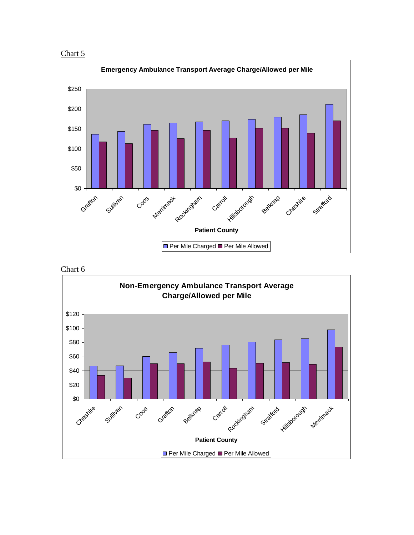





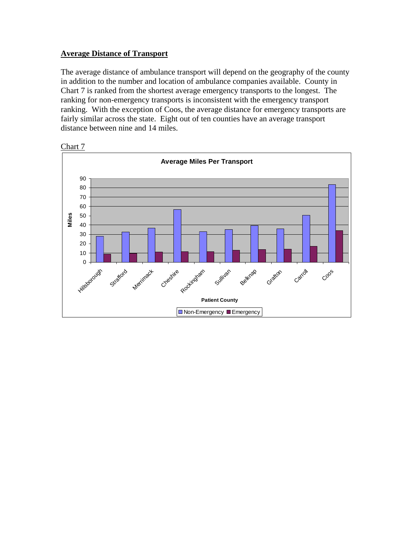#### **Average Distance of Transport**

The average distance of ambulance transport will depend on the geography of the county in addition to the number and location of ambulance companies available. County in Chart 7 is ranked from the shortest average emergency transports to the longest. The ranking for non-emergency transports is inconsistent with the emergency transport ranking. With the exception of Coos, the average distance for emergency transports are fairly similar across the state. Eight out of ten counties have an average transport distance between nine and 14 miles.



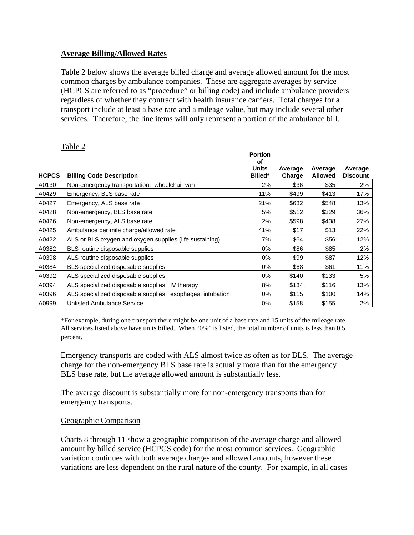#### **Average Billing/Allowed Rates**

Table 2 below shows the average billed charge and average allowed amount for the most common charges by ambulance companies. These are aggregate averages by service (HCPCS are referred to as "procedure" or billing code) and include ambulance providers regardless of whether they contract with health insurance carriers. Total charges for a transport include at least a base rate and a mileage value, but may include several other services. Therefore, the line items will only represent a portion of the ambulance bill.

#### Table 2

|              |                                                            | <b>Portion</b><br>оf    |                   |                           |                            |
|--------------|------------------------------------------------------------|-------------------------|-------------------|---------------------------|----------------------------|
| <b>HCPCS</b> | <b>Billing Code Description</b>                            | <b>Units</b><br>Billed* | Average<br>Charge | Average<br><b>Allowed</b> | Average<br><b>Discount</b> |
|              |                                                            |                         |                   |                           |                            |
| A0130        | Non-emergency transportation: wheelchair van               | 2%                      | \$36              | \$35                      | 2%                         |
| A0429        | Emergency, BLS base rate                                   | 11%                     | \$499             | \$413                     | 17%                        |
| A0427        | Emergency, ALS base rate                                   | 21%                     | \$632             | \$548                     | 13%                        |
| A0428        | Non-emergency, BLS base rate                               | 5%                      | \$512             | \$329                     | 36%                        |
| A0426        | Non-emergency, ALS base rate                               | 2%                      | \$598             | \$438                     | 27%                        |
| A0425        | Ambulance per mile charge/allowed rate                     | 41%                     | \$17              | \$13                      | 22%                        |
| A0422        | ALS or BLS oxygen and oxygen supplies (life sustaining)    | 7%                      | \$64              | \$56                      | 12%                        |
| A0382        | BLS routine disposable supplies                            | $0\%$                   | \$86              | \$85                      | 2%                         |
| A0398        | ALS routine disposable supplies                            | 0%                      | \$99              | \$87                      | 12%                        |
| A0384        | BLS specialized disposable supplies                        | 0%                      | \$68              | \$61                      | 11%                        |
| A0392        | ALS specialized disposable supplies                        | 0%                      | \$140             | \$133                     | 5%                         |
| A0394        | ALS specialized disposable supplies: IV therapy            | 8%                      | \$134             | \$116                     | 13%                        |
| A0396        | ALS specialized disposable supplies: esophageal intubation | $0\%$                   | \$115             | \$100                     | 14%                        |
| A0999        | Unlisted Ambulance Service                                 | $0\%$                   | \$158             | \$155                     | 2%                         |

\*For example, during one transport there might be one unit of a base rate and 15 units of the mileage rate. All services listed above have units billed. When "0%" is listed, the total number of units is less than 0.5 percent.

Emergency transports are coded with ALS almost twice as often as for BLS. The average charge for the non-emergency BLS base rate is actually more than for the emergency BLS base rate, but the average allowed amount is substantially less.

The average discount is substantially more for non-emergency transports than for emergency transports.

#### Geographic Comparison

Charts 8 through 11 show a geographic comparison of the average charge and allowed amount by billed service (HCPCS code) for the most common services. Geographic variation continues with both average charges and allowed amounts, however these variations are less dependent on the rural nature of the county. For example, in all cases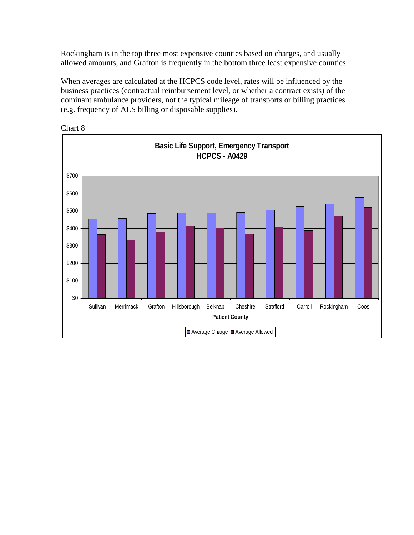Rockingham is in the top three most expensive counties based on charges, and usually allowed amounts, and Grafton is frequently in the bottom three least expensive counties.

When averages are calculated at the HCPCS code level, rates will be influenced by the business practices (contractual reimbursement level, or whether a contract exists) of the dominant ambulance providers, not the typical mileage of transports or billing practices (e.g. frequency of ALS billing or disposable supplies).



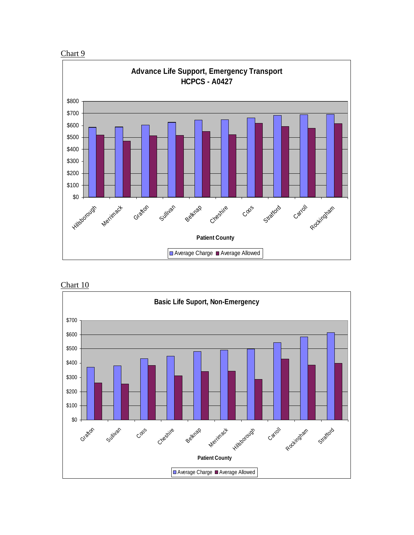





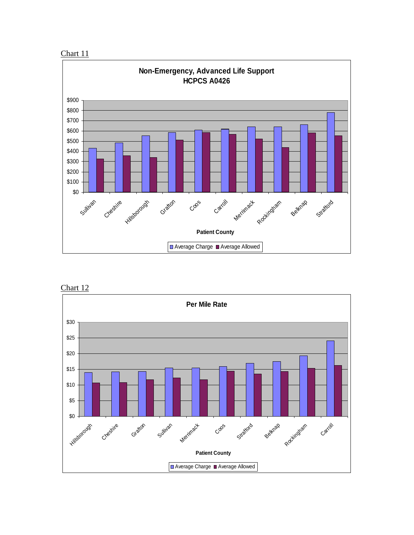





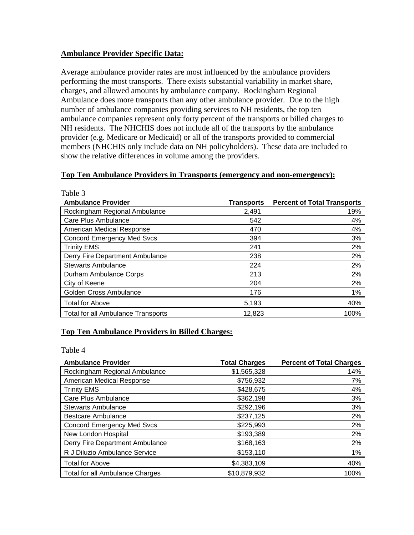#### **Ambulance Provider Specific Data:**

Average ambulance provider rates are most influenced by the ambulance providers performing the most transports. There exists substantial variability in market share, charges, and allowed amounts by ambulance company. Rockingham Regional Ambulance does more transports than any other ambulance provider. Due to the high number of ambulance companies providing services to NH residents, the top ten ambulance companies represent only forty percent of the transports or billed charges to NH residents. The NHCHIS does not include all of the transports by the ambulance provider (e.g. Medicare or Medicaid) or all of the transports provided to commercial members (NHCHIS only include data on NH policyholders). These data are included to show the relative differences in volume among the providers.

#### **Top Ten Ambulance Providers in Transports (emergency and non-emergency):**

| Table 3                                   |                   |                                    |
|-------------------------------------------|-------------------|------------------------------------|
| <b>Ambulance Provider</b>                 | <b>Transports</b> | <b>Percent of Total Transports</b> |
| Rockingham Regional Ambulance             | 2,491             | 19%                                |
| Care Plus Ambulance                       | 542               | 4%                                 |
| American Medical Response                 | 470               | 4%                                 |
| <b>Concord Emergency Med Svcs</b>         | 394               | 3%                                 |
| <b>Trinity EMS</b>                        | 241               | 2%                                 |
| Derry Fire Department Ambulance           | 238               | 2%                                 |
| <b>Stewarts Ambulance</b>                 | 224               | 2%                                 |
| Durham Ambulance Corps                    | 213               | 2%                                 |
| City of Keene                             | 204               | 2%                                 |
| Golden Cross Ambulance                    | 176               | 1%                                 |
| <b>Total for Above</b>                    | 5,193             | 40%                                |
| <b>Total for all Ambulance Transports</b> | 12,823            | 100%                               |

# **Top Ten Ambulance Providers in Billed Charges:**

#### Table 4

| <b>Ambulance Provider</b>              | <b>Total Charges</b> | <b>Percent of Total Charges</b> |
|----------------------------------------|----------------------|---------------------------------|
| Rockingham Regional Ambulance          | \$1,565,328          | 14%                             |
| American Medical Response              | \$756,932            | 7%                              |
| <b>Trinity EMS</b>                     | \$428,675            | 4%                              |
| Care Plus Ambulance                    | \$362,198            | 3%                              |
| <b>Stewarts Ambulance</b>              | \$292,196            | 3%                              |
| <b>Bestcare Ambulance</b>              | \$237,125            | 2%                              |
| <b>Concord Emergency Med Svcs</b>      | \$225,993            | 2%                              |
| New London Hospital                    | \$193,389            | 2%                              |
| Derry Fire Department Ambulance        | \$168,163            | 2%                              |
| R J Diluzio Ambulance Service          | \$153,110            | 1%                              |
| <b>Total for Above</b>                 | \$4,383,109          | 40%                             |
| <b>Total for all Ambulance Charges</b> | \$10,879,932         | 100%                            |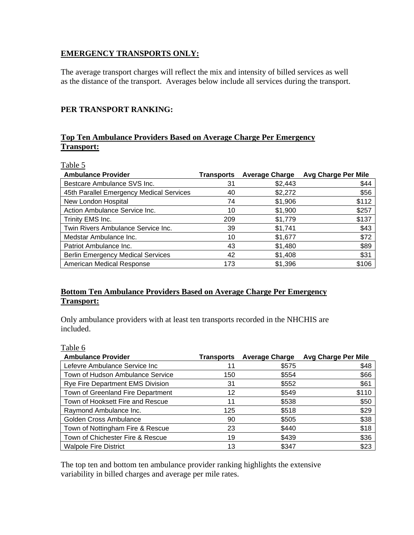#### **EMERGENCY TRANSPORTS ONLY:**

The average transport charges will reflect the mix and intensity of billed services as well as the distance of the transport. Averages below include all services during the transport.

#### **PER TRANSPORT RANKING:**

# **Top Ten Ambulance Providers Based on Average Charge Per Emergency Transport:**

|--|

| <b>Ambulance Provider</b>                | Transports | <b>Average Charge</b> | <b>Avg Charge Per Mile</b> |
|------------------------------------------|------------|-----------------------|----------------------------|
| Bestcare Ambulance SVS Inc.              | 31         | \$2,443               | \$44                       |
| 45th Parallel Emergency Medical Services | 40         | \$2,272               | \$56                       |
| New London Hospital                      | 74         | \$1,906               | \$112                      |
| Action Ambulance Service Inc.            | 10         | \$1,900               | \$257                      |
| Trinity EMS Inc.                         | 209        | \$1,779               | \$137                      |
| Twin Rivers Ambulance Service Inc.       | 39         | \$1,741               | \$43                       |
| Medstar Ambulance Inc.                   | 10         | \$1,677               | \$72                       |
| Patriot Ambulance Inc.                   | 43         | \$1,480               | \$89                       |
| <b>Berlin Emergency Medical Services</b> | 42         | \$1,408               | \$31                       |
| American Medical Response                | 173        | \$1,396               | \$106                      |

# **Bottom Ten Ambulance Providers Based on Average Charge Per Emergency Transport:**

Only ambulance providers with at least ten transports recorded in the NHCHIS are included.

#### Table 6

| <b>Ambulance Provider</b>               | <b>Transports</b> | <b>Average Charge</b> | <b>Avg Charge Per Mile</b> |
|-----------------------------------------|-------------------|-----------------------|----------------------------|
| Lefevre Ambulance Service Inc           | 11                | \$575                 | \$48                       |
| Town of Hudson Ambulance Service        | 150               | \$554                 | \$66                       |
| <b>Rye Fire Department EMS Division</b> | 31                | \$552                 | \$61                       |
| Town of Greenland Fire Department       | 12                | \$549                 | \$110                      |
| Town of Hooksett Fire and Rescue        | 11                | \$538                 | \$50                       |
| Raymond Ambulance Inc.                  | 125               | \$518                 | \$29                       |
| Golden Cross Ambulance                  | 90                | \$505                 | \$38                       |
| Town of Nottingham Fire & Rescue        | 23                | \$440                 | \$18                       |
| Town of Chichester Fire & Rescue        | 19                | \$439                 | \$36                       |
| <b>Walpole Fire District</b>            | 13                | \$347                 | \$23                       |

The top ten and bottom ten ambulance provider ranking highlights the extensive variability in billed charges and average per mile rates.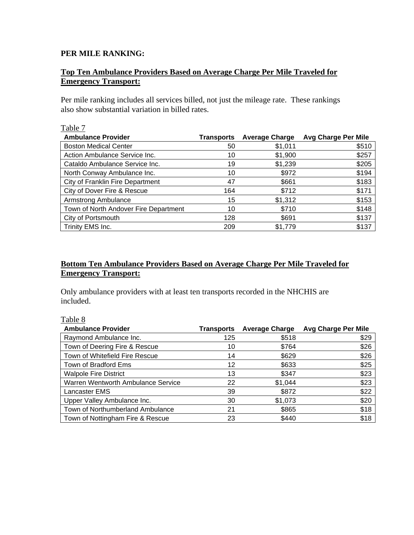#### **PER MILE RANKING:**

# **Top Ten Ambulance Providers Based on Average Charge Per Mile Traveled for Emergency Transport:**

Per mile ranking includes all services billed, not just the mileage rate. These rankings also show substantial variation in billed rates.

# Table 7

| <b>Ambulance Provider</b>             | <b>Transports</b> | <b>Average Charge</b> | <b>Avg Charge Per Mile</b> |
|---------------------------------------|-------------------|-----------------------|----------------------------|
| <b>Boston Medical Center</b>          | 50                | \$1,011               | \$510                      |
| Action Ambulance Service Inc.         | 10                | \$1,900               | \$257                      |
| Cataldo Ambulance Service Inc.        | 19                | \$1,239               | \$205                      |
| North Conway Ambulance Inc.           | 10                | \$972                 | \$194                      |
| City of Franklin Fire Department      | 47                | \$661                 | \$183                      |
| City of Dover Fire & Rescue           | 164               | \$712                 | \$171                      |
| Armstrong Ambulance                   | 15                | \$1,312               | \$153                      |
| Town of North Andover Fire Department | 10                | \$710                 | \$148                      |
| City of Portsmouth                    | 128               | \$691                 | \$137                      |
| Trinity EMS Inc.                      | 209               | \$1,779               | \$137                      |

# **Bottom Ten Ambulance Providers Based on Average Charge Per Mile Traveled for Emergency Transport:**

Only ambulance providers with at least ten transports recorded in the NHCHIS are included.

| Table 8                            |                   |                       |                            |
|------------------------------------|-------------------|-----------------------|----------------------------|
| <b>Ambulance Provider</b>          | <b>Transports</b> | <b>Average Charge</b> | <b>Avg Charge Per Mile</b> |
| Raymond Ambulance Inc.             | 125               | \$518                 | \$29                       |
| Town of Deering Fire & Rescue      | 10                | \$764                 | \$26                       |
| Town of Whitefield Fire Rescue     | 14                | \$629                 | \$26                       |
| Town of Bradford Ems               | 12                | \$633                 | \$25                       |
| <b>Walpole Fire District</b>       | 13                | \$347                 | \$23                       |
| Warren Wentworth Ambulance Service | 22                | \$1,044               | \$23                       |
| <b>Lancaster EMS</b>               | 39                | \$872                 | \$22                       |
| Upper Valley Ambulance Inc.        | 30                | \$1,073               | \$20                       |
| Town of Northumberland Ambulance   | 21                | \$865                 | \$18                       |
| Town of Nottingham Fire & Rescue   | 23                | \$440                 | \$18                       |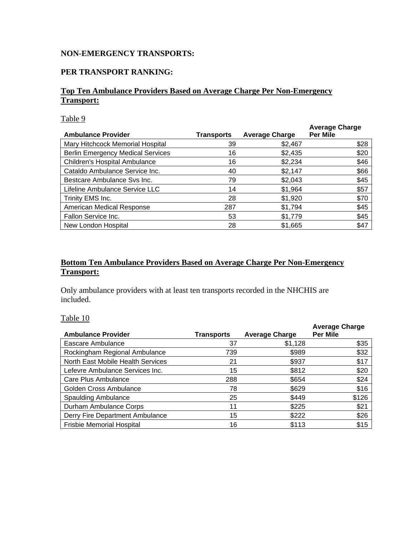# **NON-EMERGENCY TRANSPORTS:**

# **PER TRANSPORT RANKING:**

# **Top Ten Ambulance Providers Based on Average Charge Per Non-Emergency Transport:**

Table 9

| <b>Ambulance Provider</b>                | <b>Transports</b> | <b>Average Charge</b> | <b>Average Charge</b><br><b>Per Mile</b> |
|------------------------------------------|-------------------|-----------------------|------------------------------------------|
| Mary Hitchcock Memorial Hospital         | 39                | \$2,467               | \$28                                     |
| <b>Berlin Emergency Medical Services</b> | 16                | \$2,435               | \$20                                     |
| <b>Children's Hospital Ambulance</b>     | 16                | \$2,234               | \$46                                     |
| Cataldo Ambulance Service Inc.           | 40                | \$2,147               | \$66                                     |
| Bestcare Ambulance Sys Inc.              | 79                | \$2,043               | \$45                                     |
| Lifeline Ambulance Service LLC           | 14                | \$1,964               | \$57                                     |
| Trinity EMS Inc.                         | 28                | \$1,920               | \$70                                     |
| American Medical Response                | 287               | \$1,794               | \$45                                     |
| Fallon Service Inc.                      | 53                | \$1,779               | \$45                                     |
| New London Hospital                      | 28                | \$1,665               | \$47                                     |

# **Bottom Ten Ambulance Providers Based on Average Charge Per Non-Emergency Transport:**

Only ambulance providers with at least ten transports recorded in the NHCHIS are included.

Table 10

| <b>Ambulance Provider</b>         | <b>Transports</b> | <b>Average Charge</b> | <b>Average Charge</b><br><b>Per Mile</b> |
|-----------------------------------|-------------------|-----------------------|------------------------------------------|
| Eascare Ambulance                 | 37                | \$1,128               | \$35                                     |
| Rockingham Regional Ambulance     | 739               | \$989                 | \$32                                     |
| North East Mobile Health Services | 21                | \$937                 | \$17                                     |
| Lefevre Ambulance Services Inc.   | 15                | \$812                 | \$20                                     |
| Care Plus Ambulance               | 288               | \$654                 | \$24                                     |
| Golden Cross Ambulance            | 78                | \$629                 | \$16                                     |
| <b>Spaulding Ambulance</b>        | 25                | \$449                 | \$126                                    |
| Durham Ambulance Corps            | 11                | \$225                 | \$21                                     |
| Derry Fire Department Ambulance   | 15                | \$222                 | \$26                                     |
| <b>Frisbie Memorial Hospital</b>  | 16                | \$113                 | \$15                                     |